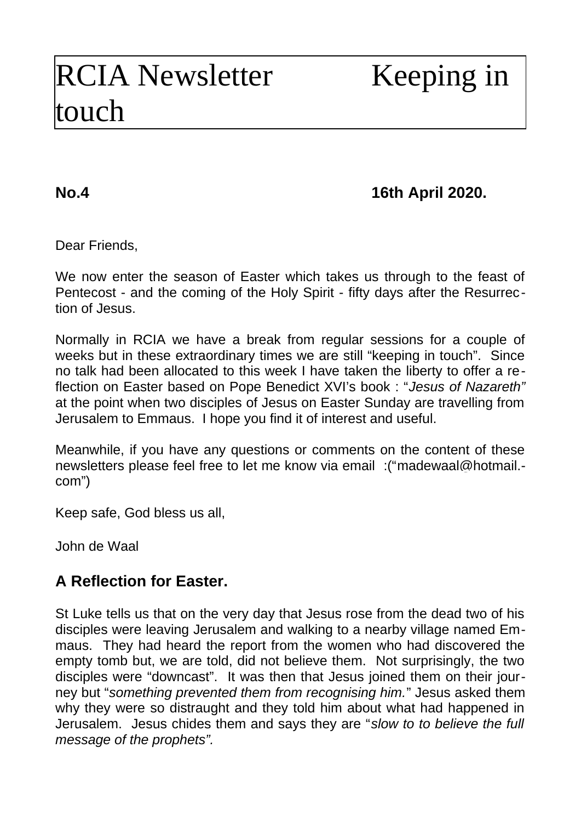# RCIA Newsletter Keeping in touch

## **No.4 16th April 2020.**

Dear Friends,

We now enter the season of Easter which takes us through to the feast of Pentecost - and the coming of the Holy Spirit - fifty days after the Resurrection of Jesus.

Normally in RCIA we have a break from regular sessions for a couple of weeks but in these extraordinary times we are still "keeping in touch". Since no talk had been allocated to this week I have taken the liberty to offer a reflection on Easter based on Pope Benedict XVI's book : "*Jesus of Nazareth"* at the point when two disciples of Jesus on Easter Sunday are travelling from Jerusalem to Emmaus. I hope you find it of interest and useful.

Meanwhile, if you have any questions or comments on the content of these newsletters please feel free to let me know via email :("[madewaal@hotmail.](mailto:madewaal@hotmail.com) [com](mailto:madewaal@hotmail.com)")

Keep safe, God bless us all,

John de Waal

## **A Reflection for Easter.**

St Luke tells us that on the very day that Jesus rose from the dead two of his disciples were leaving Jerusalem and walking to a nearby village named Emmaus. They had heard the report from the women who had discovered the empty tomb but, we are told, did not believe them. Not surprisingly, the two disciples were "downcast". It was then that Jesus joined them on their journey but "*something prevented them from recognising him.*" Jesus asked them why they were so distraught and they told him about what had happened in Jerusalem. Jesus chides them and says they are "*slow to to believe the full message of the prophets".*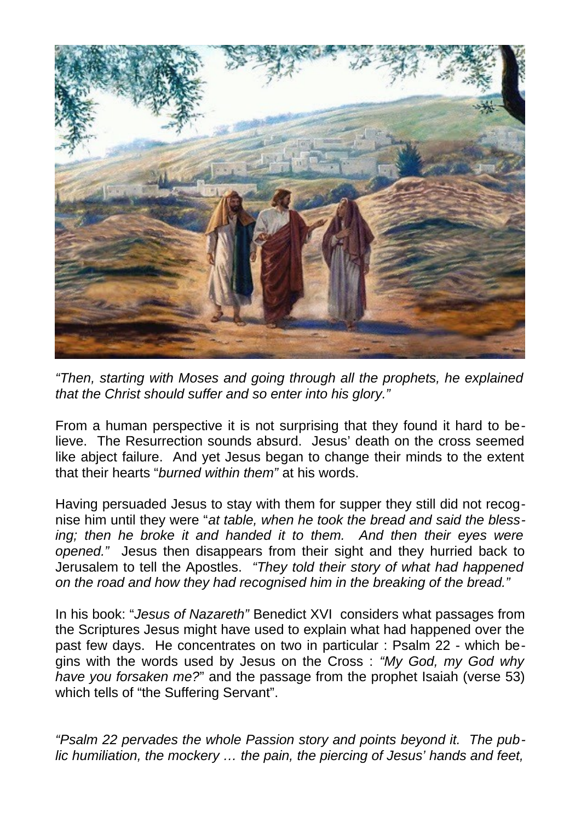

*"Then, starting with Moses and going through all the prophets, he explained that the Christ should suffer and so enter into his glory."*

From a human perspective it is not surprising that they found it hard to believe. The Resurrection sounds absurd. Jesus' death on the cross seemed like abject failure. And yet Jesus began to change their minds to the extent that their hearts "*burned within them"* at his words.

Having persuaded Jesus to stay with them for supper they still did not recognise him until they were "*at table, when he took the bread and said the blessing; then he broke it and handed it to them. And then their eyes were opened."* Jesus then disappears from their sight and they hurried back to Jerusalem to tell the Apostles. *"They told their story of what had happened on the road and how they had recognised him in the breaking of the bread."*

In his book: "*Jesus of Nazareth"* Benedict XVI considers what passages from the Scriptures Jesus might have used to explain what had happened over the past few days. He concentrates on two in particular : Psalm 22 - which begins with the words used by Jesus on the Cross : *"My God, my God why have you forsaken me?*" and the passage from the prophet Isaiah (verse 53) which tells of "the Suffering Servant".

*"Psalm 22 pervades the whole Passion story and points beyond it. The public humiliation, the mockery … the pain, the piercing of Jesus' hands and feet,*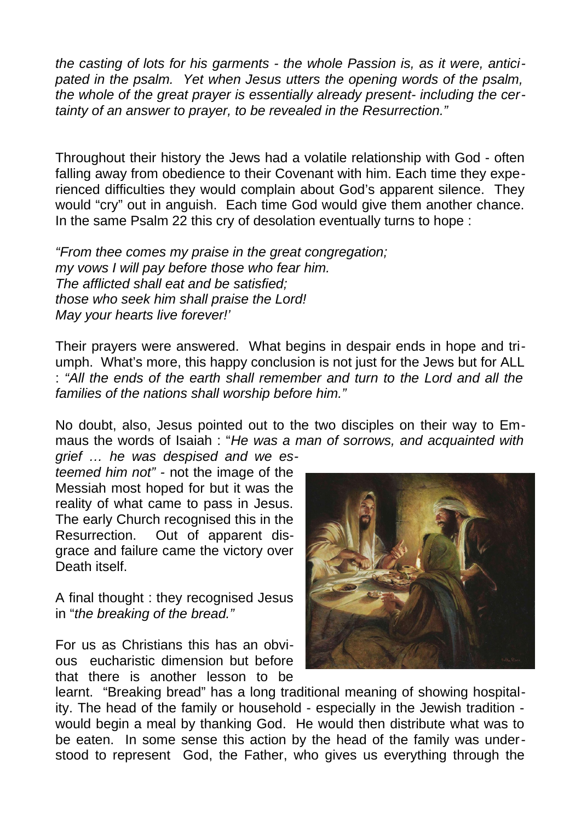*the casting of lots for his garments - the whole Passion is, as it were, anticipated in the psalm. Yet when Jesus utters the opening words of the psalm, the whole of the great prayer is essentially already present- including the certainty of an answer to prayer, to be revealed in the Resurrection."*

Throughout their history the Jews had a volatile relationship with God - often falling away from obedience to their Covenant with him. Each time they experienced difficulties they would complain about God's apparent silence. They would "cry" out in anguish. Each time God would give them another chance. In the same Psalm 22 this cry of desolation eventually turns to hope :

*"From thee comes my praise in the great congregation; my vows I will pay before those who fear him. The afflicted shall eat and be satisfied; those who seek him shall praise the Lord! May your hearts live forever!'*

Their prayers were answered. What begins in despair ends in hope and triumph. What's more, this happy conclusion is not just for the Jews but for ALL : *"All the ends of the earth shall remember and turn to the Lord and all the families of the nations shall worship before him."* 

No doubt, also, Jesus pointed out to the two disciples on their way to Emmaus the words of Isaiah : "*He was a man of sorrows, and acquainted with grief … he was despised and we es-*

*teemed him not" -* not the image of the Messiah most hoped for but it was the reality of what came to pass in Jesus. The early Church recognised this in the Resurrection. Out of apparent disgrace and failure came the victory over Death itself.

A final thought : they recognised Jesus in "*the breaking of the bread."*

For us as Christians this has an obvious eucharistic dimension but before that there is another lesson to be



learnt. "Breaking bread" has a long traditional meaning of showing hospitality. The head of the family or household - especially in the Jewish tradition would begin a meal by thanking God. He would then distribute what was to be eaten. In some sense this action by the head of the family was understood to represent God, the Father, who gives us everything through the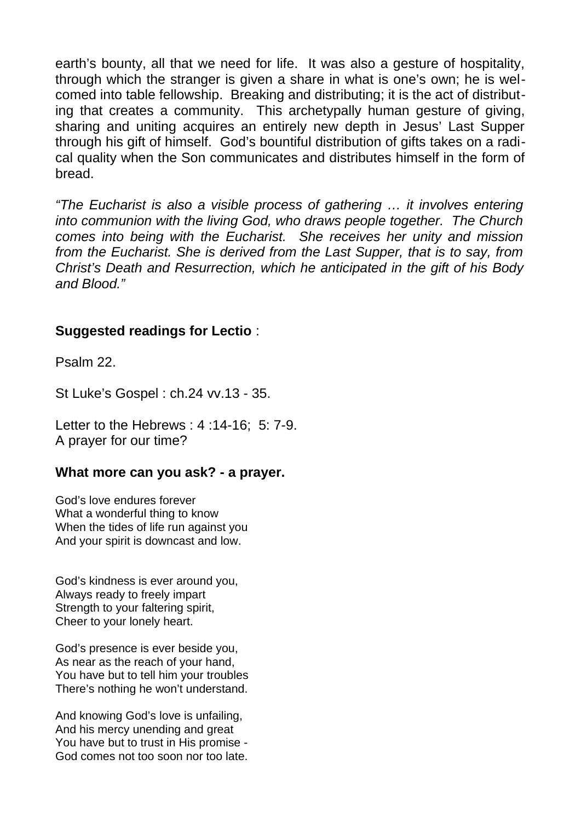earth's bounty, all that we need for life. It was also a gesture of hospitality, through which the stranger is given a share in what is one's own; he is welcomed into table fellowship. Breaking and distributing; it is the act of distributing that creates a community. This archetypally human gesture of giving, sharing and uniting acquires an entirely new depth in Jesus' Last Supper through his gift of himself. God's bountiful distribution of gifts takes on a radical quality when the Son communicates and distributes himself in the form of bread.

*"The Eucharist is also a visible process of gathering … it involves entering into communion with the living God, who draws people together. The Church comes into being with the Eucharist. She receives her unity and mission from the Eucharist. She is derived from the Last Supper, that is to say, from Christ's Death and Resurrection, which he anticipated in the gift of his Body and Blood."*

#### **Suggested readings for Lectio** :

Psalm 22.

St Luke's Gospel : ch.24 vv.13 - 35.

Letter to the Hebrews : 4 :14-16; 5: 7-9. A prayer for our time?

#### **What more can you ask? - a prayer.**

God's love endures forever What a wonderful thing to know When the tides of life run against you And your spirit is downcast and low.

God's kindness is ever around you, Always ready to freely impart Strength to your faltering spirit, Cheer to your lonely heart.

God's presence is ever beside you, As near as the reach of your hand, You have but to tell him your troubles There's nothing he won't understand.

And knowing God's love is unfailing, And his mercy unending and great You have but to trust in His promise - God comes not too soon nor too late.